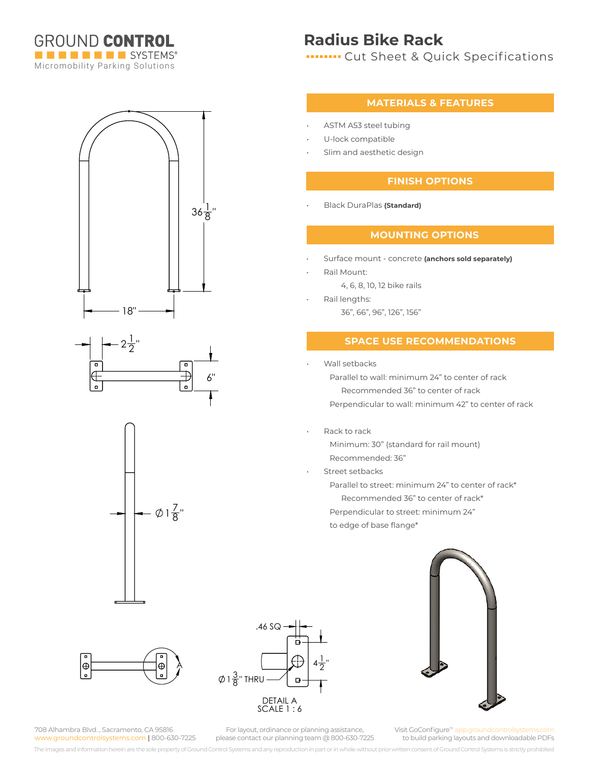

 $36\frac{1}{8}$ "

6"

 $\overline{\mathbf{a}}$ 

 $\mathbf{p}$ 

## **Radius Bike Rack**

**In THE CUT Sheet & Quick Specifications** 

#### **MATERIALS & FEATURES**

- ASTM A53 steel tubing
- U-lock compatible
- Slim and aesthetic design

#### **FINISH OPTIONS**

• Black DuraPlas **(Standard)**

#### **MOUNTING OPTIONS**

- Surface mount concrete **(anchors sold separately)**
- Rail Mount:
	- 4, 6, 8, 10, 12 bike rails
	- Rail lengths:
	- 36", 66", 96", 126", 156"

### **SPACE USE RECOMMENDATIONS**

Wall setbacks

Parallel to wall: minimum 24" to center of rack Recommended 36" to center of rack Perpendicular to wall: minimum 42" to center of rack

- Rack to rack
	- Minimum: 30" (standard for rail mount) Recommended: 36"
- Street setbacks

Parallel to street: minimum 24" to center of rack\* Recommended 36" to center of rack\*

Perpendicular to street: minimum 24"

to edge of base flange\*



 $1\frac{7}{8}$ "

18"

 $2\frac{1}{2}$  $\frac{1}{2}$ "

708 Alhambra Blvd. , Sacramento, CA 95816 www.groundcontrolsystems.com **|** 800-630-7225  $1\frac{3}{8}$ " THRU .46 SQ  $4\frac{1}{2}$  $\frac{1}{2}$ " DETAIL A SCALE 1 : 6



For layout, ordinance or planning assistance, please contact our planning team @ 800-630-7225

Visit GoConfigure<sup>™</sup> app.groundcontrols to build parking layouts and downloadable PDFs

The images and information herein are the sole property of Ground Control Systems and any reproduction in part or in whole without prior written consent of Ground Control Systems is strictly prohibited